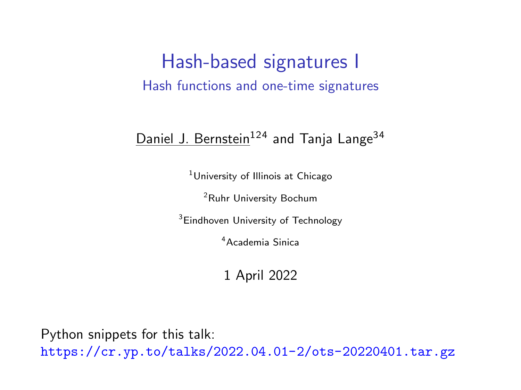### Hash-based signatures I Hash functions and one-time signatures

#### Daniel J. Bernstein<sup>124</sup> and Tanja Lange<sup>34</sup>

<sup>1</sup>University of Illinois at Chicago

<sup>2</sup>Ruhr University Bochum

<sup>3</sup>Eindhoven University of Technology

<sup>4</sup>Academia Sinica

1 April 2022

Python snippets for this talk: <https://cr.yp.to/talks/2022.04.01-2/ots-20220401.tar.gz>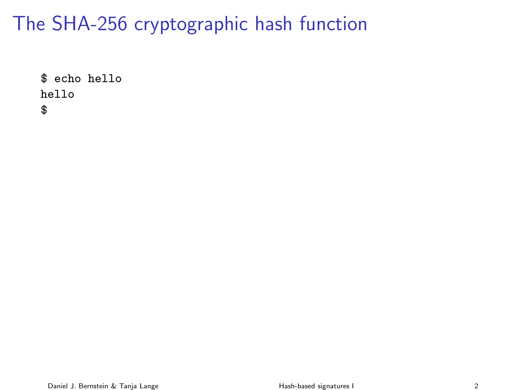\$ echo hello hello \$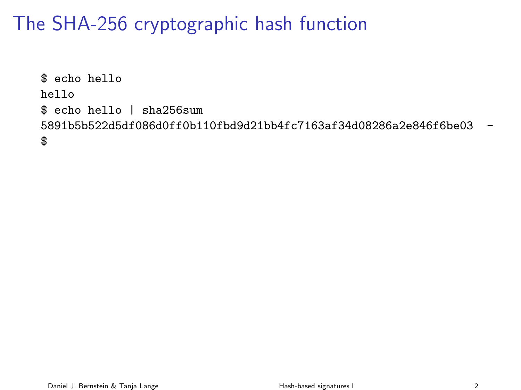\$ echo hello hello \$ echo hello | sha256sum 5891b5b522d5df086d0ff0b110fbd9d21bb4fc7163af34d08286a2e846f6be03 - \$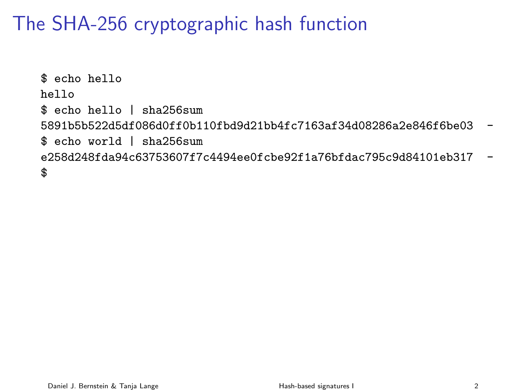\$ echo hello hello \$ echo hello | sha256sum 5891b5b522d5df086d0ff0b110fbd9d21bb4fc7163af34d08286a2e846f6be03 - \$ echo world | sha256sum e258d248fda94c63753607f7c4494ee0fcbe92f1a76bfdac795c9d84101eb317 - \$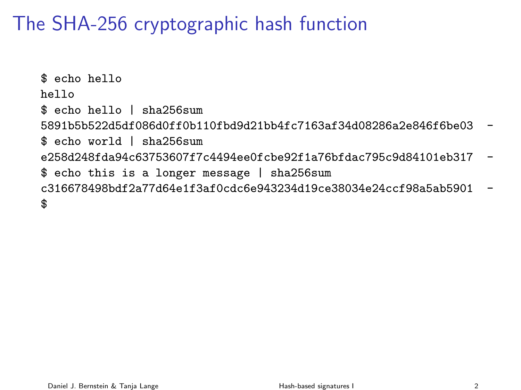\$ echo hello hello \$ echo hello | sha256sum 5891b5b522d5df086d0ff0b110fbd9d21bb4fc7163af34d08286a2e846f6be03 - \$ echo world | sha256sum e258d248fda94c63753607f7c4494ee0fcbe92f1a76bfdac795c9d84101eb317 - \$ echo this is a longer message | sha256sum c316678498bdf2a77d64e1f3af0cdc6e943234d19ce38034e24ccf98a5ab5901 - \$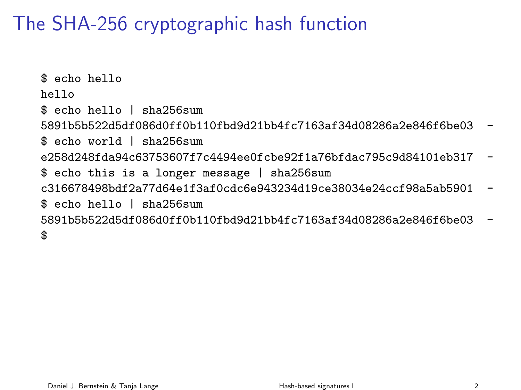\$ echo hello hello \$ echo hello | sha256sum 5891b5b522d5df086d0ff0b110fbd9d21bb4fc7163af34d08286a2e846f6be03 - \$ echo world | sha256sum e258d248fda94c63753607f7c4494ee0fcbe92f1a76bfdac795c9d84101eb317 - \$ echo this is a longer message | sha256sum c316678498bdf2a77d64e1f3af0cdc6e943234d19ce38034e24ccf98a5ab5901 - \$ echo hello | sha256sum 5891b5b522d5df086d0ff0b110fbd9d21bb4fc7163af34d08286a2e846f6be03 - \$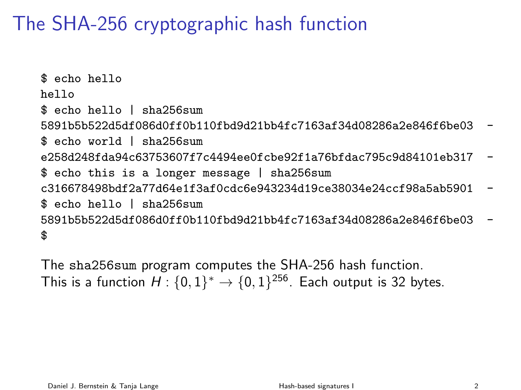\$ echo hello hello \$ echo hello | sha256sum 5891b5b522d5df086d0ff0b110fbd9d21bb4fc7163af34d08286a2e846f6be03 - \$ echo world | sha256sum e258d248fda94c63753607f7c4494ee0fcbe92f1a76bfdac795c9d84101eb317 - \$ echo this is a longer message | sha256sum c316678498bdf2a77d64e1f3af0cdc6e943234d19ce38034e24ccf98a5ab5901 - \$ echo hello | sha256sum 5891b5b522d5df086d0ff0b110fbd9d21bb4fc7163af34d08286a2e846f6be03 - \$

The sha256sum program computes the SHA-256 hash function. This is a function  $H: \{0,1\}^* \rightarrow \{0,1\}^{256}$ . Each output is 32 bytes.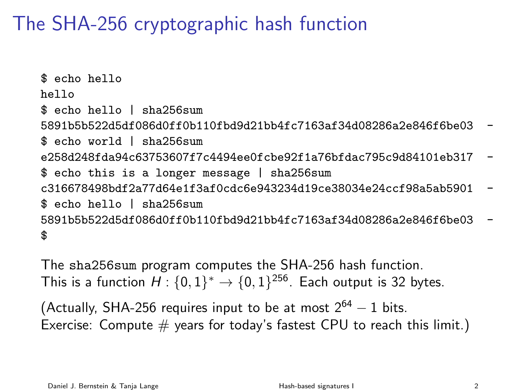\$ echo hello hello \$ echo hello | sha256sum 5891b5b522d5df086d0ff0b110fbd9d21bb4fc7163af34d08286a2e846f6be03 - \$ echo world | sha256sum e258d248fda94c63753607f7c4494ee0fcbe92f1a76bfdac795c9d84101eb317 - \$ echo this is a longer message | sha256sum c316678498bdf2a77d64e1f3af0cdc6e943234d19ce38034e24ccf98a5ab5901 - \$ echo hello | sha256sum 5891b5b522d5df086d0ff0b110fbd9d21bb4fc7163af34d08286a2e846f6be03 - \$

The sha256sum program computes the SHA-256 hash function. This is a function  $H: \{0,1\}^* \rightarrow \{0,1\}^{256}$ . Each output is 32 bytes.

(Actually, SHA-256 requires input to be at most  $2^{64} - 1$  bits. Exercise: Compute  $#$  years for today's fastest CPU to reach this limit.)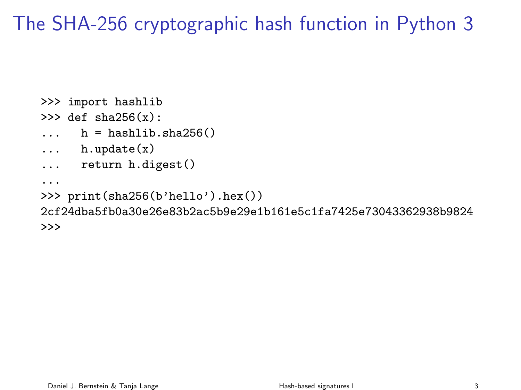# The SHA-256 cryptographic hash function in Python 3

```
>>> import hashlib
>> def sha256(x):
\ldots h = hashlib.sha256()
... h.update(x)
... return h.digest()
...
>>> print(sha256(b'hello').hex())
2cf24dba5fb0a30e26e83b2ac5b9e29e1b161e5c1fa7425e73043362938b9824
>>>
```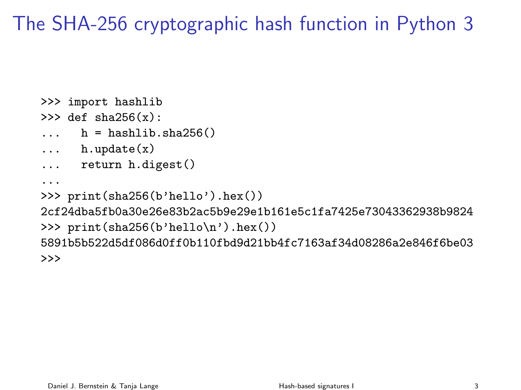# The SHA-256 cryptographic hash function in Python 3

```
>>> import hashlib
>> def sha256(x):
\ldots h = hashlib.sha256()
... h.update(x)
... return h.digest()
...
>>> print(sha256(b'hello').hex())
2cf24dba5fb0a30e26e83b2ac5b9e29e1b161e5c1fa7425e73043362938b9824
>>> print(sha256(b'hello\n').hex())
5891b5b522d5df086d0ff0b110fbd9d21bb4fc7163af34d08286a2e846f6be03
>>>
```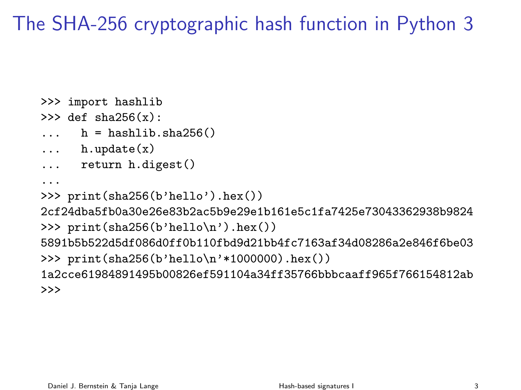# The SHA-256 cryptographic hash function in Python 3

```
>>> import hashlib
>> def sha256(x):
h =hashlib.sha256()
... h.update(x)
... return h.digest()
...
>>> print(sha256(b'hello').hex())
2cf24dba5fb0a30e26e83b2ac5b9e29e1b161e5c1fa7425e73043362938b9824
>>> print(sha256(b'hello\n').hex())
5891b5b522d5df086d0ff0b110fbd9d21bb4fc7163af34d08286a2e846f6be03
>>> print(sha256(b'hello\n'*1000000).hex())
1a2cce61984891495b00826ef591104a34ff35766bbbcaaff965f766154812ab
>>>
```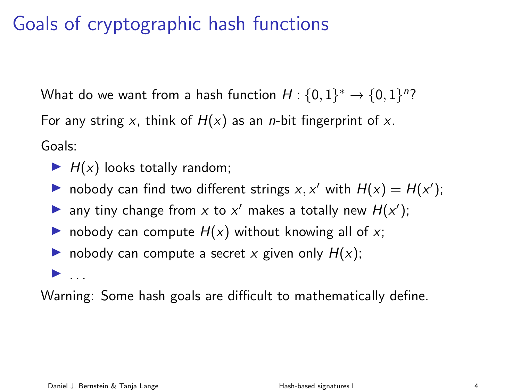# Goals of cryptographic hash functions

What do we want from a hash function  $H: \{0,1\}^* \rightarrow \{0,1\}^n$ ? For any string x, think of  $H(x)$  as an *n*-bit fingerprint of x. Goals:

- $\blacktriangleright$  H(x) looks totally random;
- nobody can find two different strings  $x, x'$  with  $H(x) = H(x')$ ;
- any tiny change from x to x' makes a totally new  $H(x')$ ;
- I nobody can compute H(x) without knowing all of x;
- nobody can compute a secret x given only  $H(x)$ ;

 $\blacktriangleright$  ...

Warning: Some hash goals are difficult to mathematically define.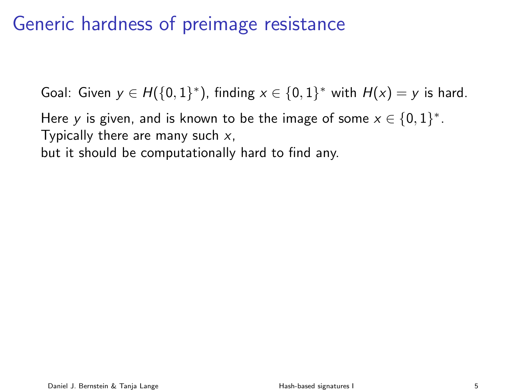# Generic hardness of preimage resistance

Goal: Given  $y \in H(\{0,1\}^*)$ , finding  $x \in \{0,1\}^*$  with  $H(x) = y$  is hard.

Here y is given, and is known to be the image of some  $x \in \{0,1\}^*$ . Typically there are many such  $x$ , but it should be computationally hard to find any.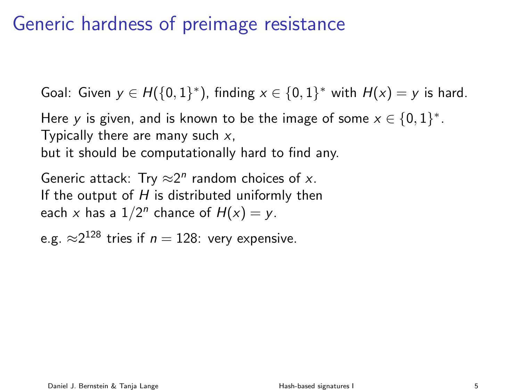# Generic hardness of preimage resistance

Goal: Given  $y \in H(\{0,1\}^*)$ , finding  $x \in \{0,1\}^*$  with  $H(x) = y$  is hard.

Here y is given, and is known to be the image of some  $x \in \{0,1\}^*$ . Typically there are many such  $x$ , but it should be computationally hard to find any.

Generic attack: Try  $\approx 2^n$  random choices of x. If the output of  $H$  is distributed uniformly then each x has a  $1/2^n$  chance of  $H(x) = y$ .

e.g.  $\approx\!\!2^{128}$  tries if  $n=128$ : very expensive.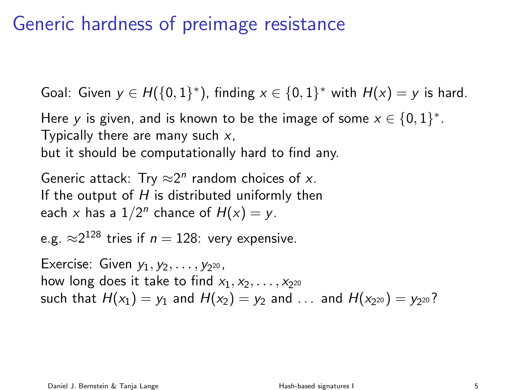# Generic hardness of preimage resistance

Goal: Given  $y \in H(\{0,1\}^*)$ , finding  $x \in \{0,1\}^*$  with  $H(x) = y$  is hard.

Here y is given, and is known to be the image of some  $x \in \{0,1\}^*$ . Typically there are many such  $x$ , but it should be computationally hard to find any.

Generic attack: Try  $\approx 2^n$  random choices of x. If the output of  $H$  is distributed uniformly then each x has a  $1/2^n$  chance of  $H(x) = y$ .

e.g.  $\approx\!\!2^{128}$  tries if  $n=128$ : very expensive.

Exercise: Given  $y_1, y_2, \ldots, y_{2^{20}}$ , how long does it take to find  $x_1, x_2, \ldots, x_{2^{20}}$ such that  $H(x_1)=y_1$  and  $H(x_2)=y_2$  and  $\ldots$  and  $H(x_{2^{20}})=y_{2^{20}}$ ?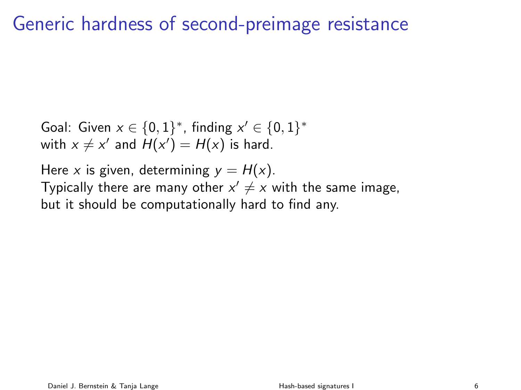# Generic hardness of second-preimage resistance

Goal: Given  $x \in \{0,1\}^*$ , finding  $x' \in \{0,1\}^*$ with  $x \neq x'$  and  $H(x') = H(x)$  is hard.

Here x is given, determining  $y = H(x)$ . Typically there are many other  $x' \neq x$  with the same image, but it should be computationally hard to find any.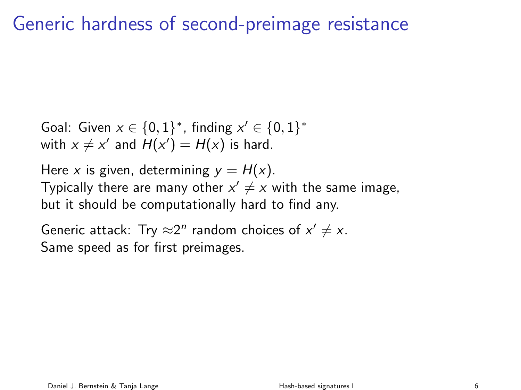# Generic hardness of second-preimage resistance

Goal: Given  $x \in \{0,1\}^*$ , finding  $x' \in \{0,1\}^*$ with  $x \neq x'$  and  $H(x') = H(x)$  is hard.

Here x is given, determining  $y = H(x)$ . Typically there are many other  $x' \neq x$  with the same image, but it should be computationally hard to find any.

Generic attack: Try  $\approx 2^n$  random choices of  $x' \neq x$ . Same speed as for first preimages.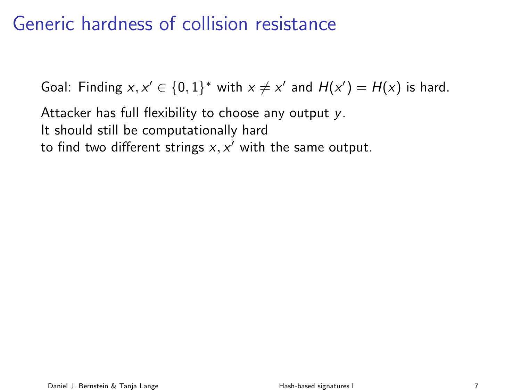# Generic hardness of collision resistance

Goal: Finding  $x, x' \in \{0,1\}^*$  with  $x \neq x'$  and  $H(x') = H(x)$  is hard.

Attacker has full flexibility to choose any output y. It should still be computationally hard to find two different strings  $x, x'$  with the same output.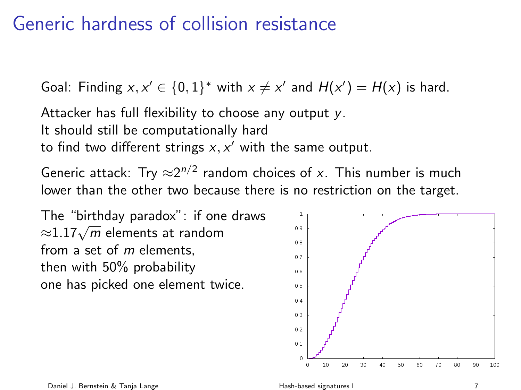# Generic hardness of collision resistance

Goal: Finding  $x, x' \in \{0,1\}^*$  with  $x \neq x'$  and  $H(x') = H(x)$  is hard.

Attacker has full flexibility to choose any output y. It should still be computationally hard to find two different strings  $x, x'$  with the same output.

Generic attack: Try  $\approx 2^{n/2}$  random choices of x. This number is much lower than the other two because there is no restriction on the target.

The "birthday paradox": if one draws The Birthday paradox Throne<br> $\approx 1.17\sqrt{m}$  elements at random from a set of  $m$  elements. then with 50% probability one has picked one element twice.

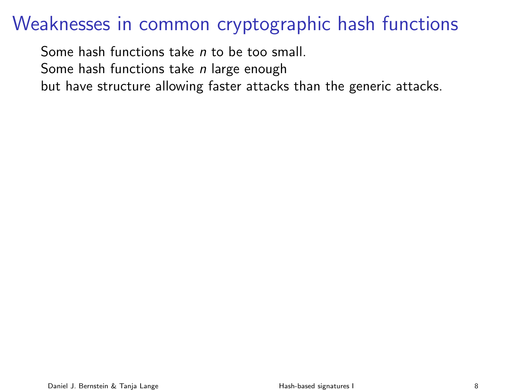Some hash functions take n to be too small. Some hash functions take *n* large enough but have structure allowing faster attacks than the generic attacks.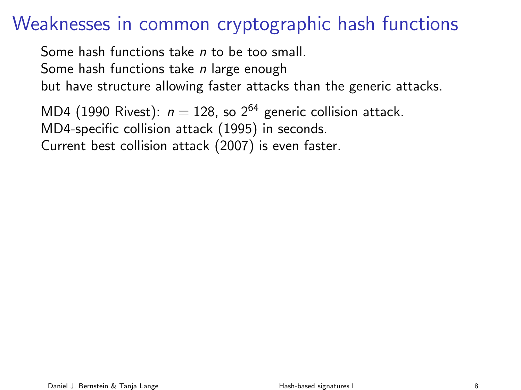Some hash functions take n to be too small. Some hash functions take *n* large enough but have structure allowing faster attacks than the generic attacks.

MD4 (1990 Rivest):  $n = 128$ , so  $2^{64}$  generic collision attack. MD4-specific collision attack (1995) in seconds. Current best collision attack (2007) is even faster.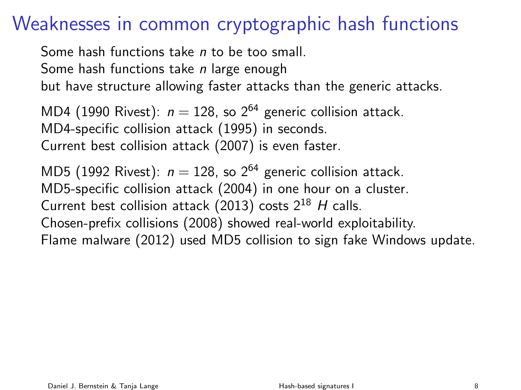Some hash functions take n to be too small. Some hash functions take *n* large enough but have structure allowing faster attacks than the generic attacks.

MD4 (1990 Rivest):  $n = 128$ , so  $2^{64}$  generic collision attack. MD4-specific collision attack (1995) in seconds. Current best collision attack (2007) is even faster.

MD5 (1992 Rivest):  $n = 128$ , so  $2^{64}$  generic collision attack. MD5-specific collision attack (2004) in one hour on a cluster. Current best collision attack (2013) costs  $2^{18}$  H calls. Chosen-prefix collisions (2008) showed real-world exploitability. Flame malware (2012) used MD5 collision to sign fake Windows update.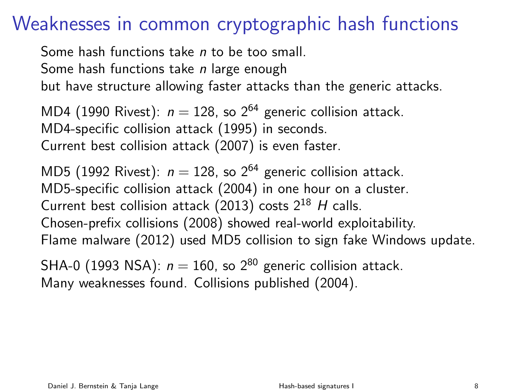Some hash functions take n to be too small. Some hash functions take *n* large enough but have structure allowing faster attacks than the generic attacks.

MD4 (1990 Rivest):  $n = 128$ , so  $2^{64}$  generic collision attack. MD4-specific collision attack (1995) in seconds. Current best collision attack (2007) is even faster.

MD5 (1992 Rivest):  $n = 128$ , so  $2^{64}$  generic collision attack. MD5-specific collision attack (2004) in one hour on a cluster. Current best collision attack (2013) costs  $2^{18}$  H calls. Chosen-prefix collisions (2008) showed real-world exploitability. Flame malware (2012) used MD5 collision to sign fake Windows update.

SHA-0 (1993 NSA):  $n = 160$ , so  $2^{80}$  generic collision attack. Many weaknesses found. Collisions published (2004).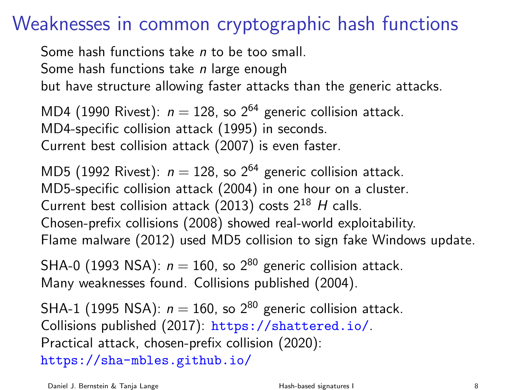Some hash functions take *n* to be too small. Some hash functions take *n* large enough but have structure allowing faster attacks than the generic attacks.

MD4 (1990 Rivest):  $n = 128$ , so  $2^{64}$  generic collision attack. MD4-specific collision attack (1995) in seconds. Current best collision attack (2007) is even faster.

MD5 (1992 Rivest):  $n = 128$ , so  $2^{64}$  generic collision attack. MD5-specific collision attack (2004) in one hour on a cluster. Current best collision attack (2013) costs  $2^{18}$  H calls. Chosen-prefix collisions (2008) showed real-world exploitability. Flame malware (2012) used MD5 collision to sign fake Windows update.

SHA-0 (1993 NSA):  $n = 160$ , so  $2^{80}$  generic collision attack. Many weaknesses found. Collisions published (2004).

SHA-1 (1995 NSA):  $n = 160$ , so  $2^{80}$  generic collision attack. Collisions published (2017): <https://shattered.io/>. Practical attack, chosen-prefix collision (2020): <https://sha-mbles.github.io/>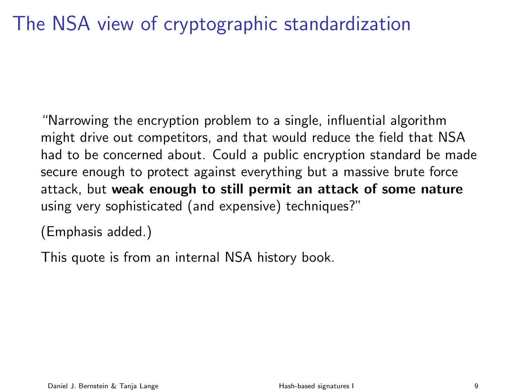# The NSA view of cryptographic standardization

"Narrowing the encryption problem to a single, influential algorithm might drive out competitors, and that would reduce the field that NSA had to be concerned about. Could a public encryption standard be made secure enough to protect against everything but a massive brute force attack, but weak enough to still permit an attack of some nature using very sophisticated (and expensive) techniques?"

(Emphasis added.)

This quote is from an internal NSA history book.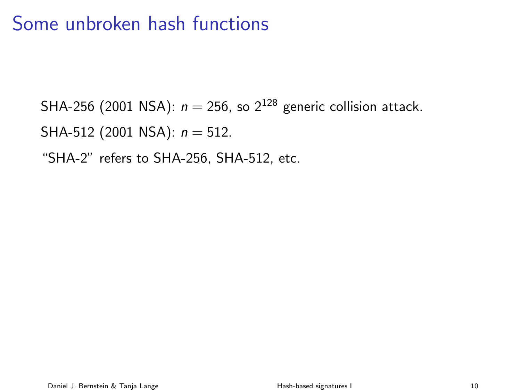SHA-256 (2001 NSA):  $n = 256$ , so  $2^{128}$  generic collision attack. SHA-512 (2001 NSA):  $n = 512$ . "SHA-2" refers to SHA-256, SHA-512, etc.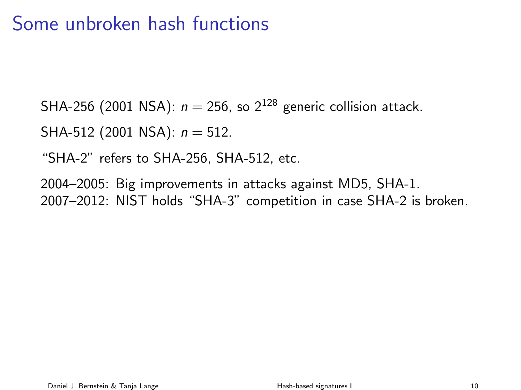SHA-256 (2001 NSA):  $n = 256$ , so  $2^{128}$  generic collision attack.

SHA-512 (2001 NSA):  $n = 512$ .

"SHA-2" refers to SHA-256, SHA-512, etc.

2004–2005: Big improvements in attacks against MD5, SHA-1. 2007–2012: NIST holds "SHA-3" competition in case SHA-2 is broken.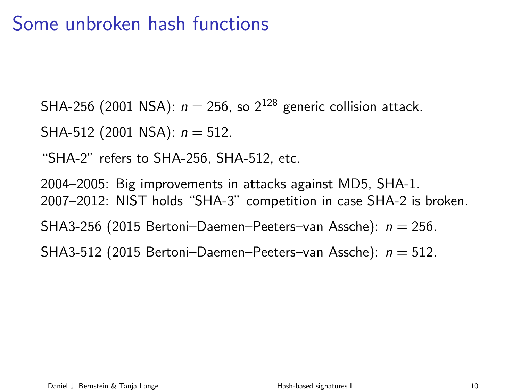SHA-256 (2001 NSA):  $n = 256$ , so  $2^{128}$  generic collision attack.

SHA-512 (2001 NSA):  $n = 512$ .

"SHA-2" refers to SHA-256, SHA-512, etc.

2004–2005: Big improvements in attacks against MD5, SHA-1. 2007–2012: NIST holds "SHA-3" competition in case SHA-2 is broken. SHA3-256 (2015 Bertoni-Daemen-Peeters-van Assche):  $n = 256$ . SHA3-512 (2015 Bertoni-Daemen-Peeters-van Assche):  $n = 512$ .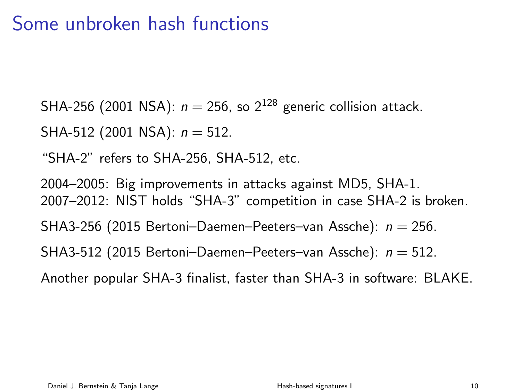SHA-256 (2001 NSA):  $n = 256$ , so  $2^{128}$  generic collision attack.

SHA-512 (2001 NSA):  $n = 512$ .

"SHA-2" refers to SHA-256, SHA-512, etc.

2004–2005: Big improvements in attacks against MD5, SHA-1. 2007–2012: NIST holds "SHA-3" competition in case SHA-2 is broken. SHA3-256 (2015 Bertoni-Daemen-Peeters-van Assche):  $n = 256$ . SHA3-512 (2015 Bertoni-Daemen-Peeters-van Assche):  $n = 512$ . Another popular SHA-3 finalist, faster than SHA-3 in software: BLAKE.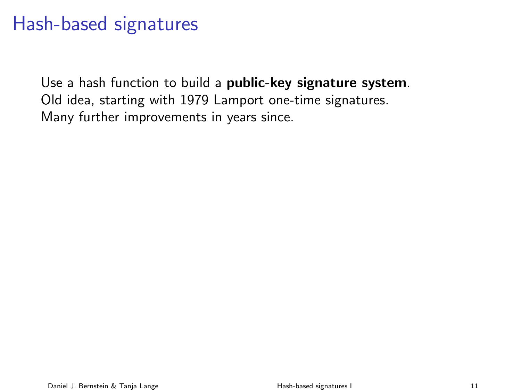Use a hash function to build a public-key signature system. Old idea, starting with 1979 Lamport one-time signatures. Many further improvements in years since.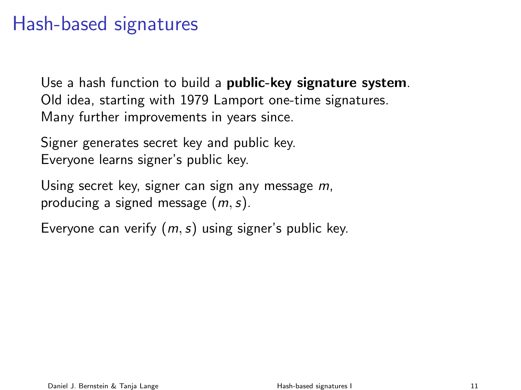Use a hash function to build a **public-key signature system**. Old idea, starting with 1979 Lamport one-time signatures. Many further improvements in years since.

Signer generates secret key and public key. Everyone learns signer's public key.

Using secret key, signer can sign any message m, producing a signed message  $(m, s)$ .

Everyone can verify  $(m, s)$  using signer's public key.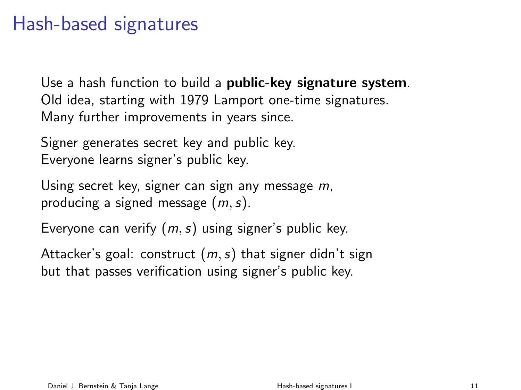Use a hash function to build a **public-key signature system**. Old idea, starting with 1979 Lamport one-time signatures. Many further improvements in years since.

Signer generates secret key and public key. Everyone learns signer's public key.

Using secret key, signer can sign any message m, producing a signed message  $(m, s)$ .

Everyone can verify  $(m, s)$  using signer's public key.

Attacker's goal: construct  $(m, s)$  that signer didn't sign but that passes verification using signer's public key.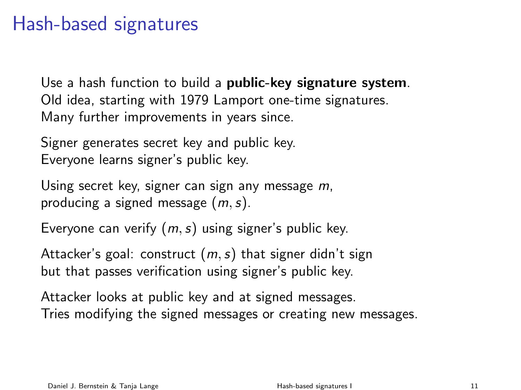Use a hash function to build a **public-key signature system**. Old idea, starting with 1979 Lamport one-time signatures. Many further improvements in years since.

Signer generates secret key and public key. Everyone learns signer's public key.

Using secret key, signer can sign any message m, producing a signed message  $(m, s)$ .

Everyone can verify  $(m, s)$  using signer's public key.

Attacker's goal: construct  $(m, s)$  that signer didn't sign but that passes verification using signer's public key.

Attacker looks at public key and at signed messages. Tries modifying the signed messages or creating new messages.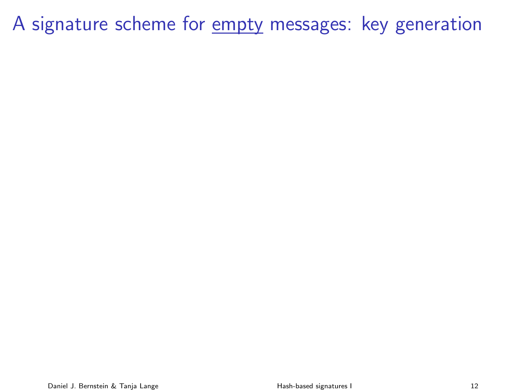A signature scheme for empty messages: key generation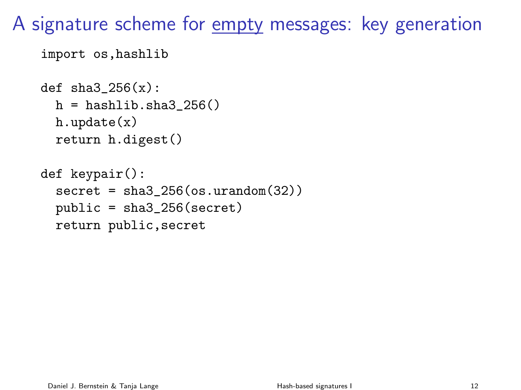A signature scheme for empty messages: key generation

```
import os,hashlib
```

```
def sha3_256(x):
  h = hashlib.shape_256()h.update(x)
  return h.digest()
```

```
def keypair():
  secret = sha3_256(os.unandom(32))public = sha3_256(secret)
  return public,secret
```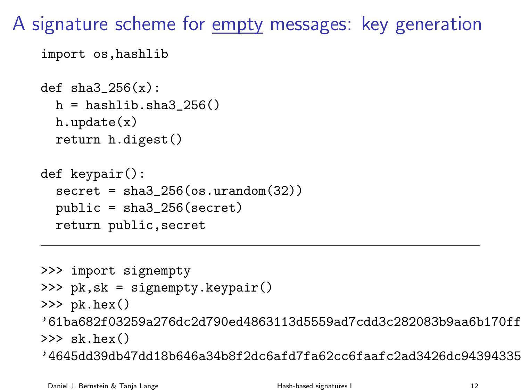A signature scheme for empty messages: key generation

```
import os,hashlib
```

```
def sha3256(x):
  h = hashlib.sha3 256()
  h.update(x)
  return h.digest()
```

```
def keypair():
  secret = sha3_256(os.unandom(32))public = sha3_256(secret)
  return public,secret
```

```
>>> import signempty
>>> pk,sk = signempty.keypair()
\gg pk.hex()
'61ba682f03259a276dc2d790ed4863113d5559ad7cdd3c282083b9aa6b170ff8'
\gg sk hex()'4645dd39db47dd18b646a34b8f2dc6afd7fa62cc6faafc2ad3426dc943943355'
```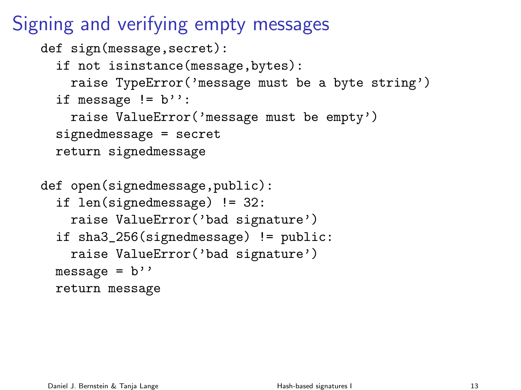Signing and verifying empty messages

```
def sign(message, secret):
  if not isinstance(message,bytes):
    raise TypeError('message must be a byte string')
  if message != b":
    raise ValueError('message must be empty')
  signedmessage = secret
  return signedmessage
def open(signedmessage,public):
  if len(signedmessage) != 32:
    raise ValueError('bad signature')
  if sha3_256(signedmessage) != public:
    raise ValueError('bad signature')
  message = b''return message
```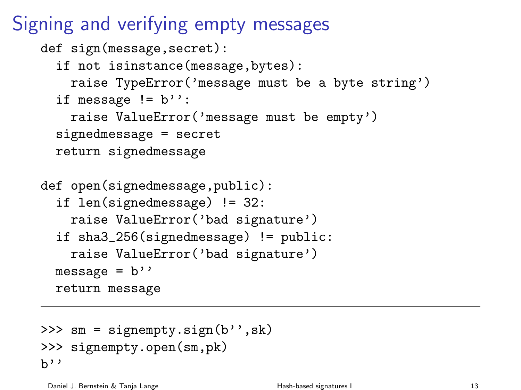Signing and verifying empty messages

```
def sign(message, secret):
  if not isinstance(message,bytes):
    raise TypeError('message must be a byte string')
  if message != b":
    raise ValueError('message must be empty')
  signedmessage = secret
  return signedmessage
def open(signedmessage,public):
  if len(signedmessage) != 32:
    raise ValueError('bad signature')
  if sha3_256(signedmessage) != public:
    raise ValueError('bad signature')
  message = b''return message
```

```
>>> sm = signempty.sign(b'',sk)
>>> signempty.open(sm,pk)
h'
```
Daniel J. Bernstein & Tanja Lange Tanja Canada (Bash-based signatures I 13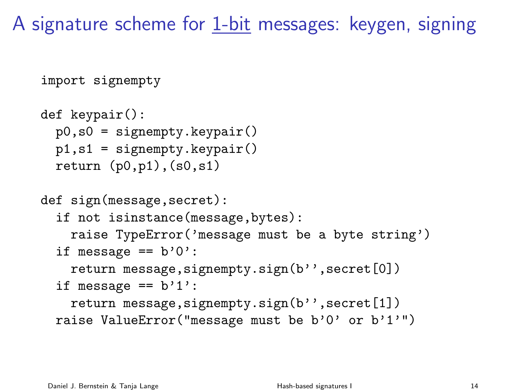A signature scheme for 1-bit messages: keygen, signing

```
import signempty
def keypair():
  p0, s0 = signempty.keypair()
  p1,s1 = signempty.keypair()
  return (p0,p1), (s0,s1)def sign(message,secret):
  if not isinstance(message,bytes):
    raise TypeError('message must be a byte string')
  if message == b'0':
    return message, signempty.sign(b'', secret[0])
  if message == b'1':return message, signempty.sign(b'', secret[1])
  raise ValueError("message must be b'0' or b'1'")
```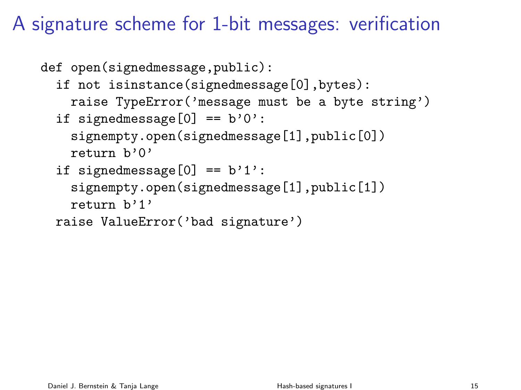# A signature scheme for 1-bit messages: verification

```
def open(signedmessage,public):
  if not isinstance(signedmessage[0],bytes):
    raise TypeError('message must be a byte string')
  if signedmessage[0] == b'0':
    signempty.open(signedmessage[1],public[0])
    return b'0'
  if signedmessage[0] == b'1':
    signempty.open(signedmessage[1],public[1])
    return b'1'
  raise ValueError('bad signature')
```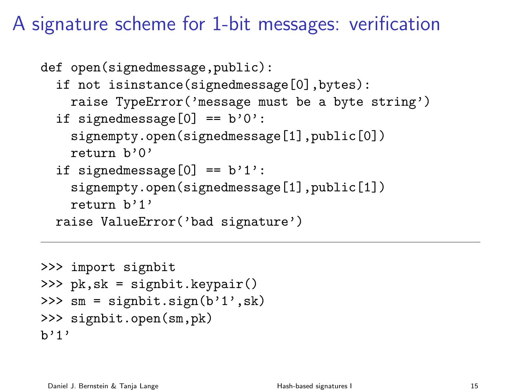### A signature scheme for 1-bit messages: verification

```
def open(signedmessage,public):
  if not isinstance(signedmessage[0],bytes):
    raise TypeError('message must be a byte string')
  if signedmessage[0] == b'0':
    signempty.open(signedmessage[1],public[0])
    return b'0'
  if signedmessage[0] == b'1':
    signempty.open(signedmessage[1],public[1])
    return b'1'
  raise ValueError('bad signature')
```

```
>>> import signbit
>>> pk,sk = signbit.keypair()
>>> sm = signbit.sign(b'1',sk)
>>> signbit.open(sm,pk)
h'1'
```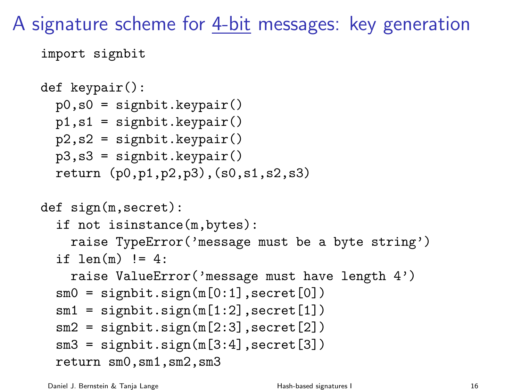A signature scheme for 4-bit messages: key generation

```
import signbit
```

```
def keypair():
  p0, s0 = signbit.keypair()
  p1,s1 = signbit.keypair()
 p2,s2 = signbit.keypair()
 p3,s3 = signbit.keypair()
  return (p0,p1,p2,p3),(s0,s1,s2,s3)
def sign(m,secret):
  if not isinstance(m,bytes):
    raise TypeError('message must be a byte string')
  if len(m) != 4:
    raise ValueError('message must have length 4')
  sm0 = signbit.sizen(m[0:1], secret[0])sm1 = signbit.sizen(m[1:2], secret[1])sm2 = signbit.sizem(m[2:3], secret[2])sm3 = signbit.sizem(m[3:4], secret[3])return sm0,sm1,sm2,sm3
```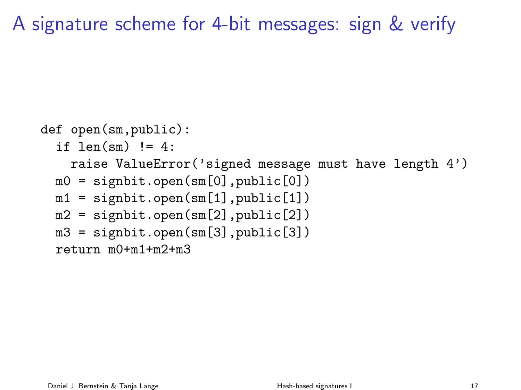A signature scheme for 4-bit messages: sign & verify

```
def open(sm,public):
  if len(sm) != 4:
    raise ValueError('signed message must have length 4')
  m0 = signbit.open(sm[0], public[0])
  m1 = signbit.open(sm[1], public[1])
  m2 = signbit.open(sm[2], public[2])
  m3 = signbit.open(sm[3], public[3])
  return m0+m1+m2+m3
```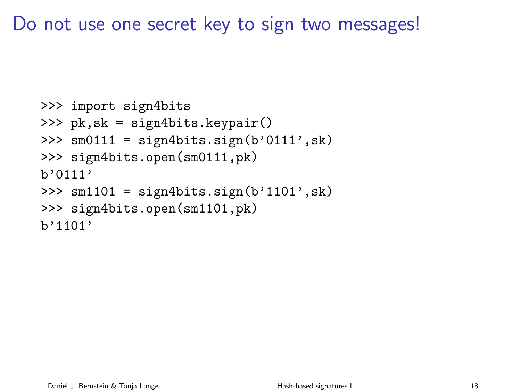Do not use one secret key to sign two messages!

```
>>> import sign4bits
>>> pk,sk = sign4bits.keypair()
>>> \text{sm0111} = \text{sign4bits}.\text{sign}(b'0111', sk)>>> sign4bits.open(sm0111,pk)
b'0111'
>>> sm1101 = sign4bits.sizen(b'1101', sk)>>> sign4bits.open(sm1101,pk)
h'1101'
```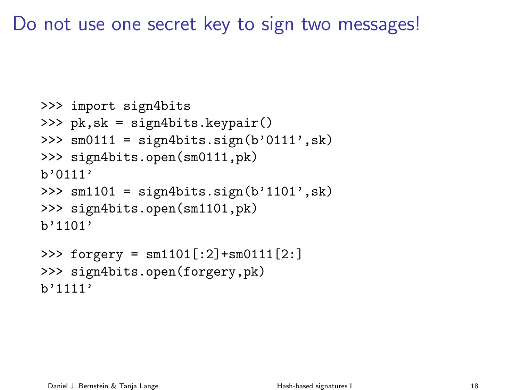Do not use one secret key to sign two messages!

```
>>> import sign4bits
>>> pk,sk = sign4bits.keypair()
>>> \text{sm0111} = \text{sign4bits}.\text{sign}(b'0111', sk)>>> sign4bits.open(sm0111,pk)
b'0111'
>>> sm1101 = sign4bits.sizen(b'1101', sk)>>> sign4bits.open(sm1101,pk)
h'1101'>>> forgery = sm1101[:2]+sm0111[2:]
```

```
>>> sign4bits.open(forgery,pk)
b'1111'
```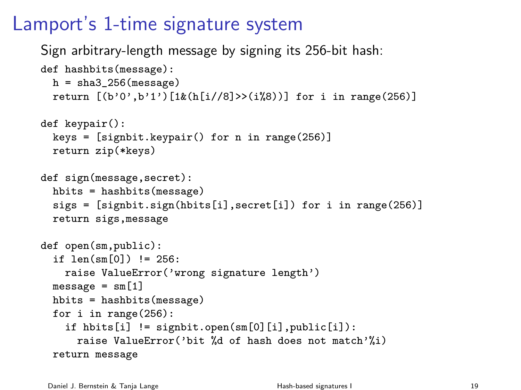# Lamport's 1-time signature system

Sign arbitrary-length message by signing its 256-bit hash:

```
def hashbits(message):
  h = sha3_256(message)return [(b'0', b'1') [1&(h[i//8])>(i%8))] for i in range(256)]
def keypair():
  keys = [significant.keypair() for n in range(256)]return zip(*keys)
def sign(message,secret):
  hbits = hashbits(message)
  sigs = [signbit.sign(hbits[i],secret[i]) for i in range(256)]
  return sigs,message
def open(sm,public):
  if len(sm[0]) != 256:
    raise ValueError('wrong signature length')
```
 $message = sm[1]$ hbits = hashbits(message) for i in range(256): if hbits[i] != signbit.open(sm[0][i],public[i]): raise ValueError('bit %d of hash does not match'%i) return message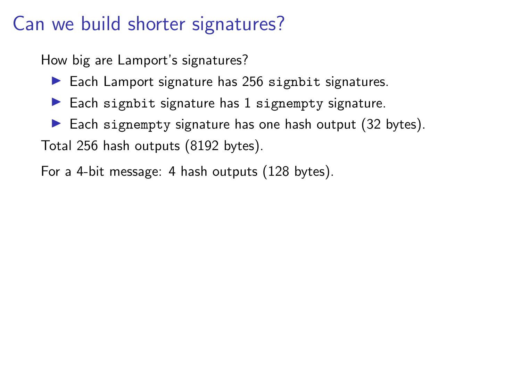# Can we build shorter signatures?

How big are Lamport's signatures?

- $\blacktriangleright$  Each Lamport signature has 256 signatit signatures.
- $\blacktriangleright$  Each signbit signature has 1 signempty signature.
- $\blacktriangleright$  Each signempty signature has one hash output (32 bytes). Total 256 hash outputs (8192 bytes).

For a 4-bit message: 4 hash outputs (128 bytes).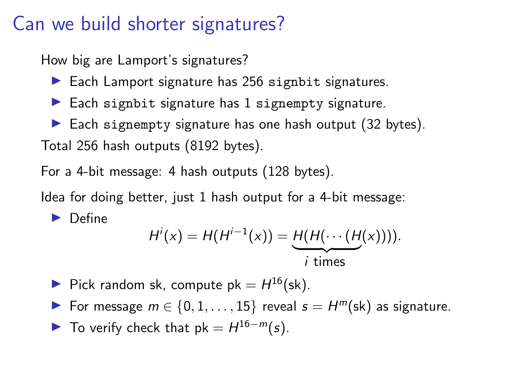### Can we build shorter signatures?

How big are Lamport's signatures?

- $\blacktriangleright$  Each Lamport signature has 256 signatit signatures.
- $\blacktriangleright$  Each signbit signature has 1 signempty signature.
- $\blacktriangleright$  Each signempty signature has one hash output (32 bytes). Total 256 hash outputs (8192 bytes).

For a 4-bit message: 4 hash outputs (128 bytes).

Idea for doing better, just 1 hash output for a 4-bit message:

 $\blacktriangleright$  Define

$$
H'(x) = H(H^{i-1}(x)) = \underbrace{H(H(\cdots(H(x))))}_{i \text{ times}}.
$$

- Pick random sk, compute  $pk = H^{16}$ (sk).
- For message  $m \in \{0, 1, ..., 15\}$  reveal  $s = H^m(\text{sk})$  as signature.
- To verify check that  $pk = H^{16-m}(s)$ .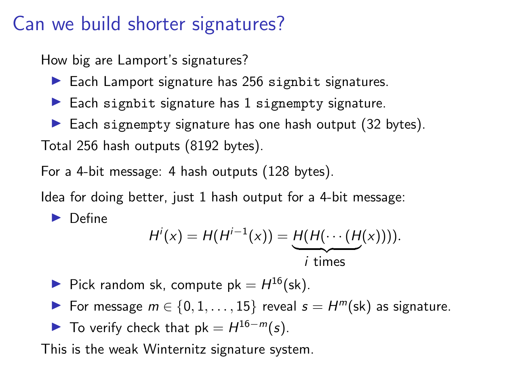### Can we build shorter signatures?

How big are Lamport's signatures?

- $\blacktriangleright$  Each Lamport signature has 256 signatit signatures.
- $\blacktriangleright$  Each signbit signature has 1 signempty signature.
- $\blacktriangleright$  Each signempty signature has one hash output (32 bytes). Total 256 hash outputs (8192 bytes).

For a 4-bit message: 4 hash outputs (128 bytes).

Idea for doing better, just 1 hash output for a 4-bit message:

 $\blacktriangleright$  Define

$$
H'(x) = H(H^{i-1}(x)) = \underbrace{H(H(\cdots(H(x))))}_{i \text{ times}}.
$$

- Pick random sk, compute  $pk = H^{16}$ (sk).
- For message  $m \in \{0, 1, ..., 15\}$  reveal  $s = H^m(\text{sk})$  as signature.
- To verify check that  $pk = H^{16-m}(s)$ .

This is the weak Winternitz signature system.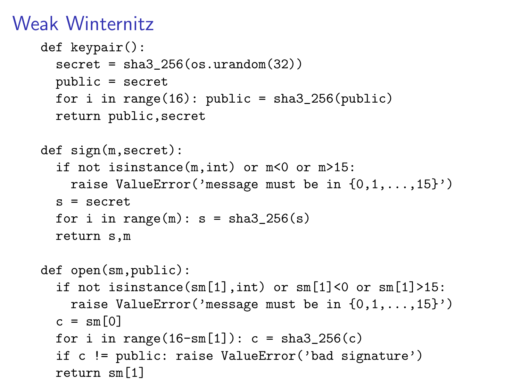# Weak Winternitz

```
def keypair():
  secret = sha3_256(os.unandom(32))public = secret
  for i in range(16): public = sha3_256(public)
  return public,secret
def sign(m,secret):
  if not isinstance(m,int) or m<0 or m>15:
    raise ValueError('message must be in \{0,1,\ldots,15\}')
  s = secretfor i in range(m): s = sha3_256(s)return s,m
def open(sm,public):
  if not isinstance(sm[1], int) or sm[1]<0 or sm[1]>15:
    raise ValueError('message must be in \{0,1,\ldots,15\}')
  c = \text{sm}[0]for i in range(16 - \text{sm}[1]): c = \text{sha3}_256(c)if c != public: raise ValueError('bad signature')
  return sm[1]
```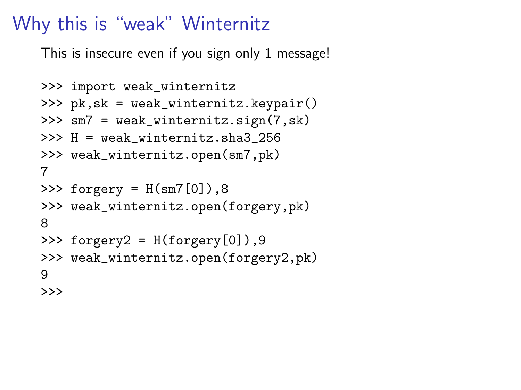### Why this is "weak" Winternitz

This is insecure even if you sign only 1 message!

```
>>> import weak_winternitz
>>> pk,sk = weak_winternitz.keypair()
>>> sm7 = weak_winternitz.sign(7,sk)
>>> H = weak_winternitz.sha3_256
>>> weak_winternitz.open(sm7,pk)
7
>>> forgery = H(sm7[0]),8
>>> weak_winternitz.open(forgery,pk)
8
\Rightarrow forgery2 = H(forgery[0]), 9
>>> weak_winternitz.open(forgery2,pk)
9
>>>
```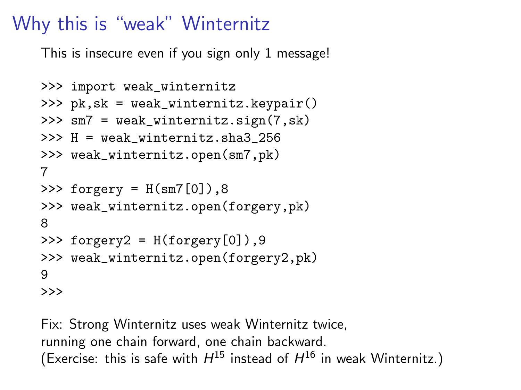# Why this is "weak" Winternitz

This is insecure even if you sign only 1 message!

```
>>> import weak_winternitz
>>> pk,sk = weak_winternitz.keypair()
>>> sm7 = weak_winternitz.sign(7,sk)
>>> H = weak_winternitz.sha3_256
>>> weak_winternitz.open(sm7,pk)
7
>>> forgery = H(sm7[0]),8
>>> weak_winternitz.open(forgery,pk)
8
\Rightarrow forgery2 = H(forgery[0]), 9
>>> weak_winternitz.open(forgery2,pk)
9
>>>
```
Fix: Strong Winternitz uses weak Winternitz twice, running one chain forward, one chain backward. (Exercise: this is safe with  $H^{15}$  instead of  $H^{16}$  in weak Winternitz.)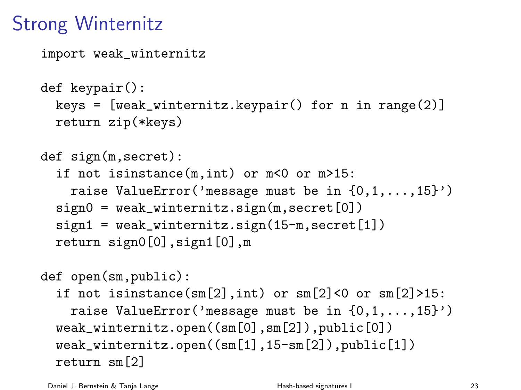# Strong Winternitz

```
import weak_winternitz
def keypair():
  keys = [weak\_winternitz.keypair() for n in range(2)]return zip(*keys)
def sign(m,secret):
  if not isinstance(m,int) or m<0 or m>15:
    raise ValueError('message must be in \{0,1,\ldots,15\}')
  sign0 = weak\_winternitz.sizen(m, secret[0])sign1 = weak\_winternitz.sizen(15-m, secret[1])return sign0[0],sign1[0],m
def open(sm,public):
  if not isinstance(sm[2],int) or sm[2]<0 or sm[2]>15:
    raise ValueError('message must be in \{0,1,\ldots,15\}')
  weak_winternitz.open((sm[0],sm[2]),public[0])
  weak_winternitz.open((sm[1],15-sm[2]),public[1])
  return sm[2]
```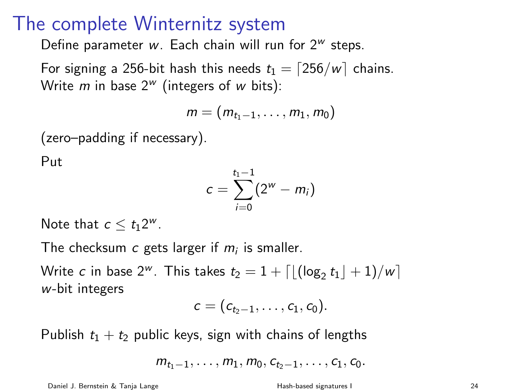#### The complete Winternitz system

Define parameter w. Each chain will run for  $2^w$  steps.

For signing a 256-bit hash this needs  $t_1 = \lfloor 256/w \rfloor$  chains. Write *m* in base  $2^w$  (integers of *w* bits):

$$
m=(m_{t_1-1},\ldots,m_1,m_0)
$$

(zero–padding if necessary).

Put

$$
c = \sum_{i=0}^{t_1-1} (2^w - m_i)
$$

Note that  $c \leq t_1 2^w$ .

The checksum  $c$  gets larger if  $m_i$  is smaller.

Write  $c$  in base 2 $^w$ . This takes  $t_2 = 1 + \lceil \lfloor (\log_2 t_1 \rfloor + 1)/w \rceil$ w-bit integers

$$
c=(c_{t_2-1},\ldots,c_1,c_0).
$$

Publish  $t_1 + t_2$  public keys, sign with chains of lengths

 $m_{t_1-1}, \ldots, m_1, m_0, c_{t_2-1}, \ldots, c_1, c_0.$ 

Daniel J. Bernstein & Tanja Lange The Mash-based signatures I and the Mash-based signatures I and the Mash-based signatures I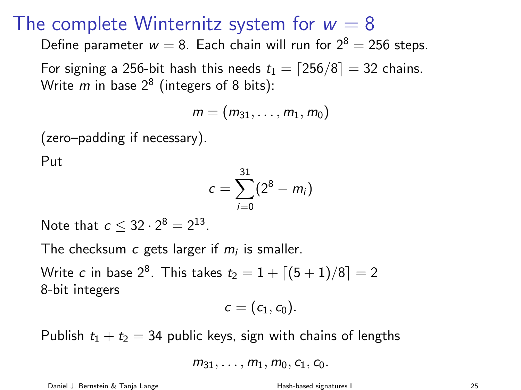#### The complete Winternitz system for  $w = 8$

Define parameter  $w = 8$ . Each chain will run for  $2^8 = 256$  steps.

For signing a 256-bit hash this needs  $t_1 = \lfloor 256/8 \rfloor = 32$  chains. Write  $m$  in base  $2^8$  (integers of 8 bits):

$$
m=(m_{31},\ldots,m_1,m_0)
$$

(zero–padding if necessary).

Put

$$
c = \sum_{i=0}^{31} (2^8 - m_i)
$$

Note that  $c \leq 32 \cdot 2^8 = 2^{13}$ .

The checksum  $c$  gets larger if  $m_i$  is smaller.

Write  $c$  in base  $2^8.$  This takes  $t_2=1+\lceil(5+1)/8\rceil=2$ 8-bit integers

$$
c=(c_1,c_0).
$$

Publish  $t_1 + t_2 = 34$  public keys, sign with chains of lengths

$$
m_{31}, \ldots, m_1, m_0, c_1, c_0.
$$

Daniel J. Bernstein & Tanja Lange **Hash-based signatures I** 25